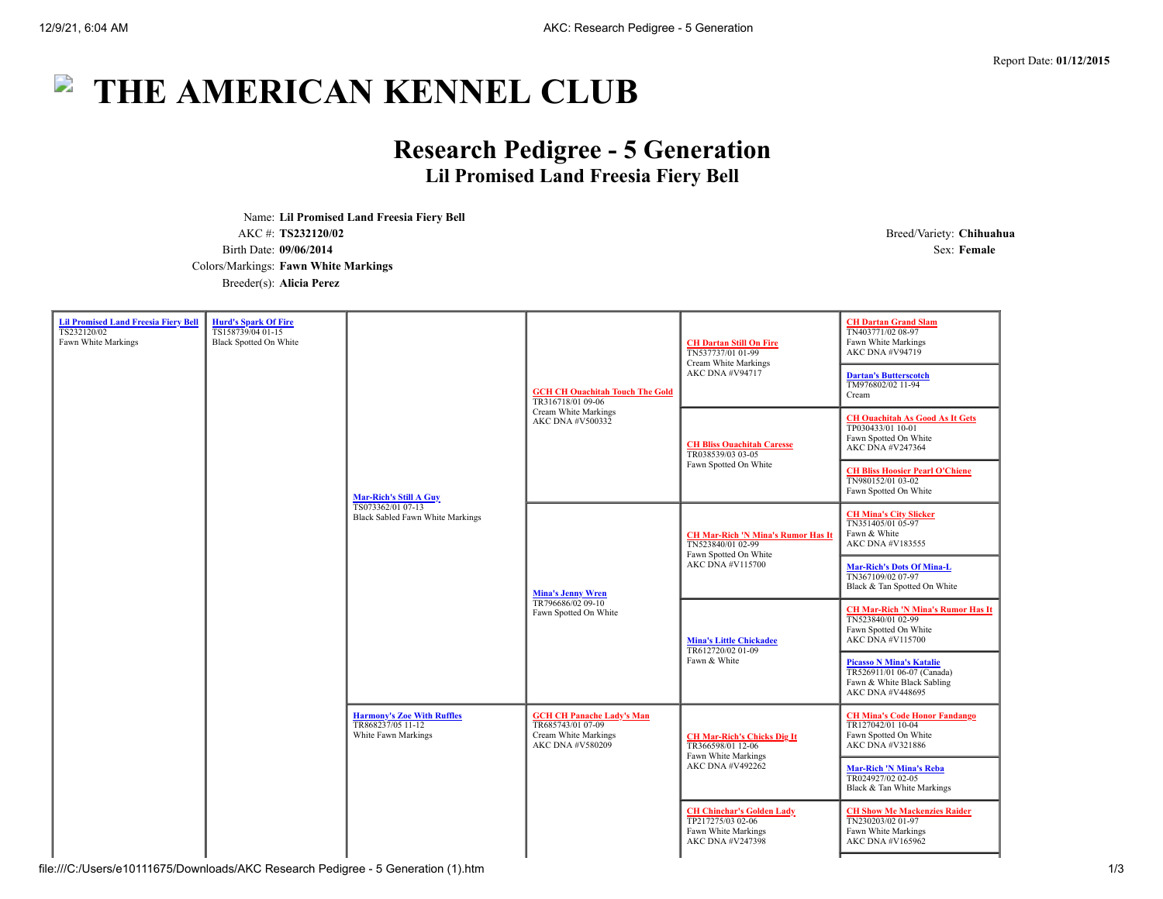Report Date: **01/12/2015**

## $\overline{\phantom{a}}$ **THE AMERICAN KENNEL CLUB**

## **Research Pedigree - 5 Generation**

**Lil Promised Land Freesia Fiery Bell**

Name: **Lil Promised Land Freesia Fiery Bell** AKC #: **TS232120/02** Breed/Variety: **Chihuahua** Birth Date: **09/06/2014** Sex: **Female** Colors/Markings: **Fawn White Markings** Breeder(s): **Alicia Perez**

| <b>Lil Promised Land Freesia Fiery Bell</b><br>TS232120/02<br>Fawn White Markings | <b>Hurd's Spark Of Fire</b><br>TS158739/04 01-15<br>Black Spotted On White | <b>Mar-Rich's Still A Guy</b><br>TS073362/01 07-13<br>Black Sabled Fawn White Markings | <b>GCH CH Ouachitah Touch The Gold</b><br>TR316718/01 09-06<br>Cream White Markings<br>AKC DNA #V500332 | <b>CH Dartan Still On Fire</b><br>TN537737/01 01-99<br>Cream White Markings<br>AKC DNA #V94717              | <b>CH Dartan Grand Slam</b><br>TN403771/02 08-97<br>Fawn White Markings<br><b>AKC DNA #V94719</b><br><b>Dartan's Butterscotch</b><br>TM976802/02 11-94<br>Cream |
|-----------------------------------------------------------------------------------|----------------------------------------------------------------------------|----------------------------------------------------------------------------------------|---------------------------------------------------------------------------------------------------------|-------------------------------------------------------------------------------------------------------------|-----------------------------------------------------------------------------------------------------------------------------------------------------------------|
|                                                                                   |                                                                            |                                                                                        |                                                                                                         | <b>CH Bliss Ouachitah Caresse</b><br>TR038539/03 03-05<br>Fawn Spotted On White                             | <b>CH Ouachitah As Good As It Gets</b><br>TP030433/01 10-01<br>Fawn Spotted On White<br>AKC DNA #V247364                                                        |
|                                                                                   |                                                                            |                                                                                        |                                                                                                         |                                                                                                             | <b>CH Bliss Hoosier Pearl O'Chiene</b><br>TN980152/01 03-02<br>Fawn Spotted On White                                                                            |
|                                                                                   |                                                                            |                                                                                        | <b>Mina's Jenny Wren</b><br>TR796686/02 09-10<br>Fawn Spotted On White                                  | <b>CH Mar-Rich 'N Mina's Rumor Has It</b><br>TN523840/01 02-99<br>Fawn Spotted On White<br>AKC DNA #V115700 | <b>CH Mina's City Slicker</b><br>TN351405/01 05-97<br>Fawn & White<br>AKC DNA #V183555                                                                          |
|                                                                                   |                                                                            |                                                                                        |                                                                                                         |                                                                                                             | <b>Mar-Rich's Dots Of Mina-L</b><br>TN367109/02 07-97<br>Black & Tan Spotted On White                                                                           |
|                                                                                   |                                                                            |                                                                                        |                                                                                                         | <b>Mina's Little Chickadee</b><br>TR612720/02 01-09<br>Fawn & White                                         | <b>CH Mar-Rich 'N Mina's Rumor Has It</b><br>TN523840/01 02-99<br>Fawn Spotted On White<br>AKC DNA #V115700                                                     |
|                                                                                   |                                                                            |                                                                                        |                                                                                                         |                                                                                                             | <b>Picasso N Mina's Katalie</b><br>TR526911/01 06-07 (Canada)<br>Fawn & White Black Sabling<br>AKC DNA #V448695                                                 |
|                                                                                   |                                                                            | <b>Harmony's Zoe With Ruffles</b><br>TR868237/05 11-12<br>White Fawn Markings          | <b>GCH CH Panache Lady's Man</b><br>TR685743/01 07-09<br>Cream White Markings<br>AKC DNA #V580209       | <b>CH Mar-Rich's Chicks Dig It</b><br>TR366598/01 12-06<br>Fawn White Markings<br>AKC DNA #V492262          | <b>CH Mina's Code Honor Fandango</b><br>TR127042/01 10-04<br>Fawn Spotted On White<br>AKC DNA #V321886                                                          |
|                                                                                   |                                                                            |                                                                                        |                                                                                                         |                                                                                                             | <b>Mar-Rich 'N Mina's Reba</b><br>TR024927/02 02-05<br>Black & Tan White Markings                                                                               |
|                                                                                   |                                                                            |                                                                                        |                                                                                                         | <b>CH Chinchar's Golden Lady</b><br>TP217275/03 02-06<br>Fawn White Markings<br>AKC DNA #V247398            | <b>CH Show Me Mackenzies Raider</b><br>TN230203/02 01-97<br>Fawn White Markings<br>AKC DNA #V165962                                                             |

file:///C:/Users/e10111675/Downloads/AKC Research Pedigree - 5 Generation (1).htm 1/3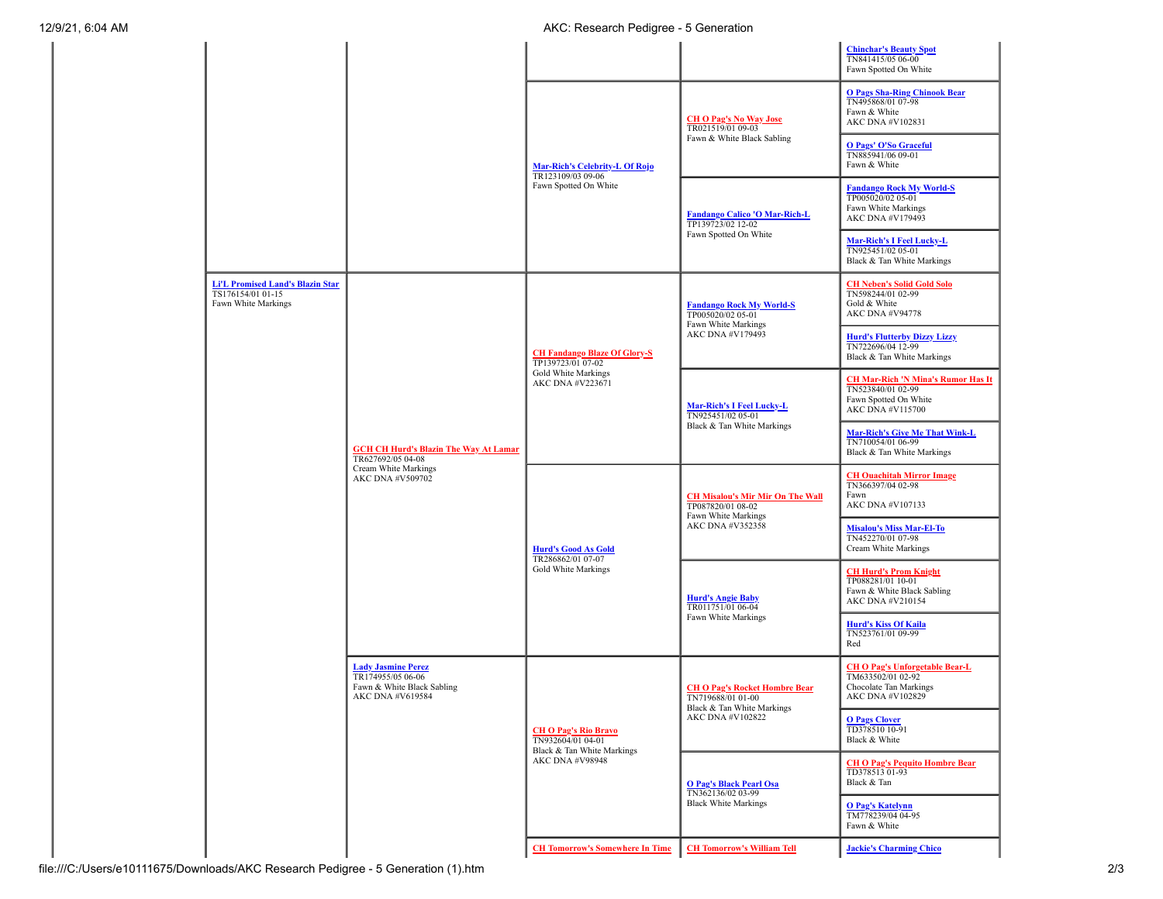|                                                                                     |                                                                                                               |                                                                                                         |                                                                                                            | <b>Chinchar's Beauty Spot</b><br>TN841415/05 06-00<br>Fawn Spotted On White                                 |
|-------------------------------------------------------------------------------------|---------------------------------------------------------------------------------------------------------------|---------------------------------------------------------------------------------------------------------|------------------------------------------------------------------------------------------------------------|-------------------------------------------------------------------------------------------------------------|
|                                                                                     |                                                                                                               | <b>Mar-Rich's Celebrity-L Of Rojo</b><br>TR123109/03 09-06<br>Fawn Spotted On White                     | <b>CHO Pag's No Way Jose</b><br>TR021519/01 09-03<br>Fawn & White Black Sabling                            | <b>O Pags Sha-Ring Chinook Bear</b><br>TN495868/01 07-98<br>Fawn & White<br>AKC DNA #V102831                |
|                                                                                     |                                                                                                               |                                                                                                         |                                                                                                            | O Pags' O'So Graceful<br>TN885941/06 09-01<br>Fawn & White                                                  |
|                                                                                     |                                                                                                               |                                                                                                         | <b>Fandango Calico 'O Mar-Rich-L</b><br>TP139723/02 12-02<br>Fawn Spotted On White                         | <b>Fandango Rock My World-S</b><br>TP005020/02 05-01<br>Fawn White Markings<br>AKC DNA #V179493             |
|                                                                                     |                                                                                                               |                                                                                                         |                                                                                                            | <b>Mar-Rich's I Feel Lucky-L</b><br>TN925451/02 05-01<br>Black & Tan White Markings                         |
| <b>Li'L Promised Land's Blazin Star</b><br>TS176154/01 01-15<br>Fawn White Markings | <b>GCH CH Hurd's Blazin The Way At Lamar</b><br>TR627692/05 04-08<br>Cream White Markings<br>AKC DNA #V509702 | <b>CH Fandango Blaze Of Glory-S</b><br>TP139723/01 07-02<br>Gold White Markings<br>AKC DNA #V223671     | <b>Fandango Rock My World-S</b><br>TP005020/02 05-01<br>Fawn White Markings<br>AKC DNA #V179493            | <b>CH Neben's Solid Gold Solo</b><br>TN598244/01 02-99<br>Gold & White<br><b>AKC DNA #V94778</b>            |
|                                                                                     |                                                                                                               |                                                                                                         |                                                                                                            | <b>Hurd's Flutterby Dizzy Lizzy</b><br>TN722696/04 12-99<br>Black & Tan White Markings                      |
|                                                                                     |                                                                                                               |                                                                                                         | Mar-Rich's I Feel Lucky-L<br>TN925451/02 05-01<br>Black & Tan White Markings                               | <b>CH Mar-Rich 'N Mina's Rumor Has It</b><br>TN523840/01 02-99<br>Fawn Spotted On White<br>AKC DNA #V115700 |
|                                                                                     |                                                                                                               |                                                                                                         |                                                                                                            | Mar-Rich's Give Me That Wink-L<br>TN710054/01 06-99<br>Black & Tan White Markings                           |
|                                                                                     |                                                                                                               | <b>Hurd's Good As Gold</b><br>TR286862/01 07-07<br>Gold White Markings                                  | <b>CH Misalou's Mir Mir On The Wall</b><br>TP087820/01 08-02<br>Fawn White Markings<br>AKC DNA #V352358    | <b>CH Ouachitah Mirror Image</b><br>TN366397/04 02-98<br>Fawn<br>AKC DNA #V107133                           |
|                                                                                     |                                                                                                               |                                                                                                         |                                                                                                            | <b>Misalou's Miss Mar-El-To</b><br>TN452270/01 07-98<br>Cream White Markings                                |
|                                                                                     |                                                                                                               |                                                                                                         | <b>Hurd's Angie Baby</b><br>TR011751/01 06-04<br>Fawn White Markings                                       | <b>CH Hurd's Prom Knight</b><br>TP088281/01 10-01<br>Fawn & White Black Sabling<br>AKC DNA #V210154         |
|                                                                                     |                                                                                                               |                                                                                                         |                                                                                                            | <b>Hurd's Kiss Of Kaila</b><br>TN523761/01 09-99<br>Red                                                     |
|                                                                                     | <b>Lady Jasmine Perez</b><br>TR174955/05 06-06<br>Fawn & White Black Sabling<br>AKC DNA #V619584              | <b>CHO Pag's Rio Bravo</b><br>TN932604/01 04-01<br>Black & Tan White Markings<br><b>AKC DNA #V98948</b> | <b>CHO Pag's Rocket Hombre Bear</b><br>TN719688/01 01-00<br>Black & Tan White Markings<br>AKC DNA #V102822 | <b>CHO Pag's Unforgetable Bear-L</b><br>TM633502/01 02-92<br>Chocolate Tan Markings<br>AKC DNA #V102829     |
|                                                                                     |                                                                                                               |                                                                                                         |                                                                                                            | <b>O Pags Clover</b><br>TD378510 10-91<br>Black & White                                                     |
|                                                                                     |                                                                                                               |                                                                                                         | <b>O Pag's Black Pearl Osa</b><br>TN362136/02 03-99                                                        | <b>CHO Pag's Pequito Hombre Bear</b><br>TD378513 01-93<br>Black & Tan                                       |
|                                                                                     |                                                                                                               |                                                                                                         | <b>Black White Markings</b>                                                                                | <b>O Pag's Katelynn</b><br>TM778239/04 04-95<br>Fawn & White                                                |
|                                                                                     |                                                                                                               | <b>CH Tomorrow's Somewhere In Time</b>                                                                  | <b>CH Tomorrow's William Tell</b>                                                                          | <b>Jackie's Charming Chico</b>                                                                              |